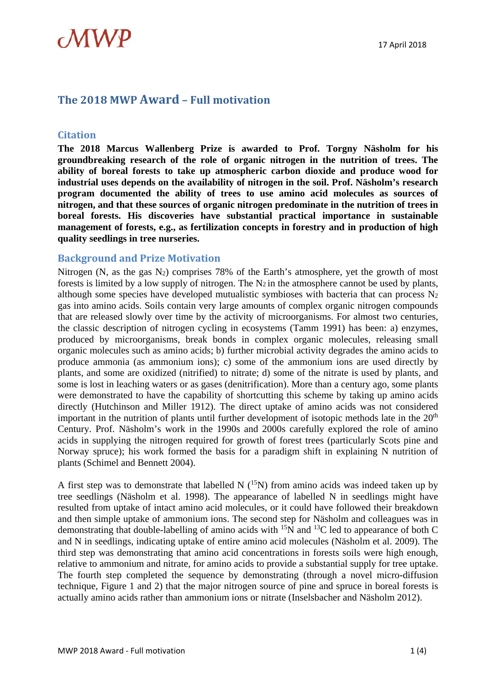## **The 2018 MWP Award – Full motivation**

#### **Citation**

**The 2018 Marcus Wallenberg Prize is awarded to Prof. Torgny Näsholm for his groundbreaking research of the role of organic nitrogen in the nutrition of trees. The ability of boreal forests to take up atmospheric carbon dioxide and produce wood for industrial uses depends on the availability of nitrogen in the soil. Prof. Näsholm's research program documented the ability of trees to use amino acid molecules as sources of nitrogen, and that these sources of organic nitrogen predominate in the nutrition of trees in boreal forests. His discoveries have substantial practical importance in sustainable management of forests, e.g., as fertilization concepts in forestry and in production of high quality seedlings in tree nurseries.** 

#### **Background and Prize Motivation**

Nitrogen (N, as the gas N2) comprises 78% of the Earth's atmosphere, yet the growth of most forests is limited by a low supply of nitrogen. The  $N_2$  in the atmosphere cannot be used by plants, although some species have developed mutualistic symbioses with bacteria that can process  $N_2$ gas into amino acids. Soils contain very large amounts of complex organic nitrogen compounds that are released slowly over time by the activity of microorganisms. For almost two centuries, the classic description of nitrogen cycling in ecosystems (Tamm 1991) has been: a) enzymes, produced by microorganisms, break bonds in complex organic molecules, releasing small organic molecules such as amino acids; b) further microbial activity degrades the amino acids to produce ammonia (as ammonium ions); c) some of the ammonium ions are used directly by plants, and some are oxidized (nitrified) to nitrate; d) some of the nitrate is used by plants, and some is lost in leaching waters or as gases (denitrification). More than a century ago, some plants were demonstrated to have the capability of shortcutting this scheme by taking up amino acids directly (Hutchinson and Miller 1912). The direct uptake of amino acids was not considered important in the nutrition of plants until further development of isotopic methods late in the  $20<sup>th</sup>$ Century. Prof. Näsholm's work in the 1990s and 2000s carefully explored the role of amino acids in supplying the nitrogen required for growth of forest trees (particularly Scots pine and Norway spruce); his work formed the basis for a paradigm shift in explaining N nutrition of plants (Schimel and Bennett 2004).

A first step was to demonstrate that labelled N  $(^{15}N)$  from amino acids was indeed taken up by tree seedlings (Näsholm et al. 1998). The appearance of labelled N in seedlings might have resulted from uptake of intact amino acid molecules, or it could have followed their breakdown and then simple uptake of ammonium ions. The second step for Näsholm and colleagues was in demonstrating that double-labelling of amino acids with  $^{15}N$  and  $^{13}C$  led to appearance of both C and N in seedlings, indicating uptake of entire amino acid molecules (Näsholm et al. 2009). The third step was demonstrating that amino acid concentrations in forests soils were high enough, relative to ammonium and nitrate, for amino acids to provide a substantial supply for tree uptake. The fourth step completed the sequence by demonstrating (through a novel micro-diffusion technique, Figure 1 and 2) that the major nitrogen source of pine and spruce in boreal forests is actually amino acids rather than ammonium ions or nitrate (Inselsbacher and Näsholm 2012).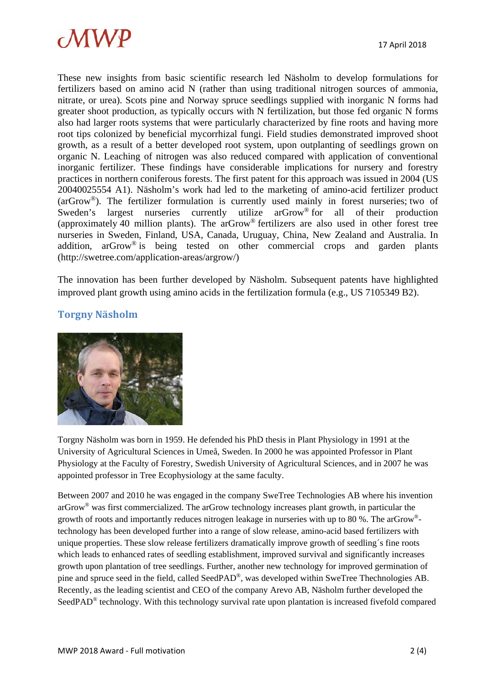

These new insights from basic scientific research led Näsholm to develop formulations for fertilizers based on amino acid N (rather than using traditional nitrogen sources of ammonia, nitrate, or urea). Scots pine and Norway spruce seedlings supplied with inorganic N forms had greater shoot production, as typically occurs with N fertilization, but those fed organic N forms also had larger roots systems that were particularly characterized by fine roots and having more root tips colonized by beneficial mycorrhizal fungi. Field studies demonstrated improved shoot growth, as a result of a better developed root system, upon outplanting of seedlings grown on organic N. Leaching of nitrogen was also reduced compared with application of conventional inorganic fertilizer. These findings have considerable implications for nursery and forestry practices in northern coniferous forests. The first patent for this approach was issued in 2004 (US 20040025554 A1). Näsholm's work had led to the marketing of amino-acid fertilizer product (arGrow®). The fertilizer formulation is currently used mainly in forest nurseries; two of Sweden's largest nurseries currently utilize arGrow<sup>®</sup> for all of their production (approximately 40 million plants). The arGrow<sup>®</sup> fertilizers are also used in other forest tree nurseries in Sweden, Finland, USA, Canada, Uruguay, China, New Zealand and Australia. In addition, arGrow® is being tested on other commercial crops and garden plants (http://swetree.com/application-areas/argrow/)

The innovation has been further developed by Näsholm. Subsequent patents have highlighted improved plant growth using amino acids in the fertilization formula (e.g., US 7105349 B2).

### **Torgny Näsholm**



Torgny Näsholm was born in 1959. He defended his PhD thesis in Plant Physiology in 1991 at the University of Agricultural Sciences in Umeå, Sweden. In 2000 he was appointed Professor in Plant Physiology at the Faculty of Forestry, Swedish University of Agricultural Sciences, and in 2007 he was appointed professor in Tree Ecophysiology at the same faculty.

Between 2007 and 2010 he was engaged in the company SweTree Technologies AB where his invention arGrow® was first commercialized. The arGrow technology increases plant growth, in particular the growth of roots and importantly reduces nitrogen leakage in nurseries with up to 80 %. The arGrow® technology has been developed further into a range of slow release, amino-acid based fertilizers with unique properties. These slow release fertilizers dramatically improve growth of seedling´s fine roots which leads to enhanced rates of seedling establishment, improved survival and significantly increases growth upon plantation of tree seedlings. Further, another new technology for improved germination of pine and spruce seed in the field, called SeedPAD®, was developed within SweTree Thechnologies AB. Recently, as the leading scientist and CEO of the company Arevo AB, Näsholm further developed the SeedPAD® technology. With this technology survival rate upon plantation is increased fivefold compared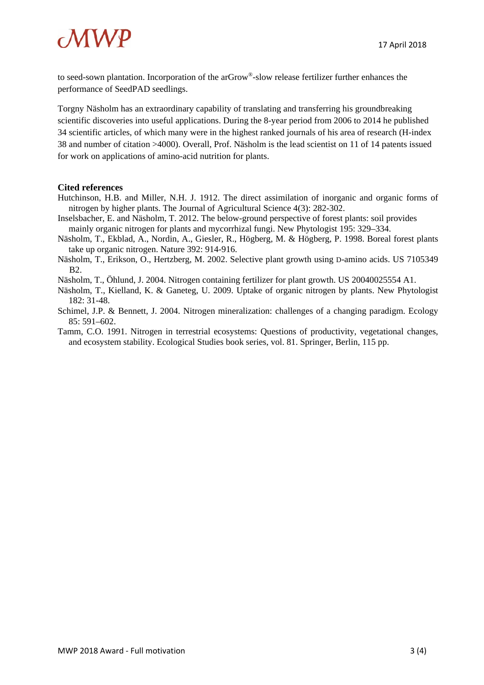

to seed-sown plantation. Incorporation of the arGrow®-slow release fertilizer further enhances the performance of SeedPAD seedlings.

Torgny Näsholm has an extraordinary capability of translating and transferring his groundbreaking scientific discoveries into useful applications. During the 8-year period from 2006 to 2014 he published 34 scientific articles, of which many were in the highest ranked journals of his area of research (H-index 38 and number of citation >4000). Overall, Prof. Näsholm is the lead scientist on 11 of 14 patents issued for work on applications of amino-acid nutrition for plants.

#### **Cited references**

- Hutchinson, H.B. and Miller, N.H. J. 1912. The direct assimilation of inorganic and organic forms of nitrogen by higher plants. The Journal of Agricultural Science 4(3): 282-302.
- Inselsbacher, E. and Näsholm, T. 2012. The below-ground perspective of forest plants: soil provides mainly organic nitrogen for plants and mycorrhizal fungi. New Phytologist 195: 329–334.
- Näsholm, T., Ekblad, A., Nordin, A., Giesler, R., Högberg, M. & Högberg, P. 1998. Boreal forest plants take up organic nitrogen. Nature 392: 914-916.
- Näsholm, T., Erikson, O., Hertzberg, M. 2002. Selective plant growth using D-amino acids. US 7105349 B2.
- Näsholm, T., Öhlund, J. 2004. Nitrogen containing fertilizer for plant growth. US 20040025554 A1.
- Näsholm, T., Kielland, K. & Ganeteg, U. 2009. Uptake of organic nitrogen by plants. New Phytologist 182: 31-48.
- Schimel, J.P. & Bennett, J. 2004. Nitrogen mineralization: challenges of a changing paradigm. Ecology 85: 591–602.
- Tamm, C.O. 1991. Nitrogen in terrestrial ecosystems: Questions of productivity, vegetational changes, and ecosystem stability. Ecological Studies book series, vol. 81. Springer, Berlin, 115 pp.